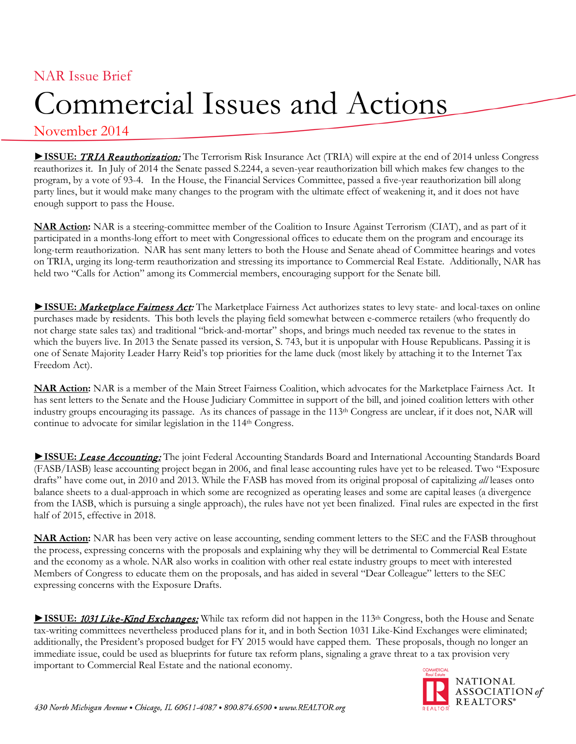## NAR Issue Brief Commercial Issues and Actions

## November 2014

► ISSUE: TRIA Reauthorization: The Terrorism Risk Insurance Act (TRIA) will expire at the end of 2014 unless Congress reauthorizes it. In July of 2014 the Senate passed S.2244, a seven-year reauthorization bill which makes few changes to the program, by a vote of 93-4. In the House, the Financial Services Committee, passed a five-year reauthorization bill along party lines, but it would make many changes to the program with the ultimate effect of weakening it, and it does not have enough support to pass the House.

**NAR Action:** NAR is a steering-committee member of the Coalition to Insure Against Terrorism (CIAT), and as part of it participated in a months-long effort to meet with Congressional offices to educate them on the program and encourage its long-term reauthorization. NAR has sent many letters to both the House and Senate ahead of Committee hearings and votes on TRIA, urging its long-term reauthorization and stressing its importance to Commercial Real Estate. Additionally, NAR has held two "Calls for Action" among its Commercial members, encouraging support for the Senate bill.

► **ISSUE:** Marketplace Fairness Act: The Marketplace Fairness Act authorizes states to levy state- and local-taxes on online purchases made by residents. This both levels the playing field somewhat between e-commerce retailers (who frequently do not charge state sales tax) and traditional "brick-and-mortar" shops, and brings much needed tax revenue to the states in which the buyers live. In 2013 the Senate passed its version, S. 743, but it is unpopular with House Republicans. Passing it is one of Senate Majority Leader Harry Reid's top priorities for the lame duck (most likely by attaching it to the Internet Tax Freedom Act).

**NAR Action:** NAR is a member of the Main Street Fairness Coalition, which advocates for the Marketplace Fairness Act. It has sent letters to the Senate and the House Judiciary Committee in support of the bill, and joined coalition letters with other industry groups encouraging its passage. As its chances of passage in the 113th Congress are unclear, if it does not, NAR will continue to advocate for similar legislation in the 114th Congress.

**►ISSUE:** Lease Accounting: The joint Federal Accounting Standards Board and International Accounting Standards Board (FASB/IASB) lease accounting project began in 2006, and final lease accounting rules have yet to be released. Two "Exposure drafts" have come out, in 2010 and 2013. While the FASB has moved from its original proposal of capitalizing *all* leases onto balance sheets to a dual-approach in which some are recognized as operating leases and some are capital leases (a divergence from the IASB, which is pursuing a single approach), the rules have not yet been finalized. Final rules are expected in the first half of 2015, effective in 2018.

**NAR Action:** NAR has been very active on lease accounting, sending comment letters to the SEC and the FASB throughout the process, expressing concerns with the proposals and explaining why they will be detrimental to Commercial Real Estate and the economy as a whole. NAR also works in coalition with other real estate industry groups to meet with interested Members of Congress to educate them on the proposals, and has aided in several "Dear Colleague" letters to the SEC expressing concerns with the Exposure Drafts.

**►** ISSUE: 1031 Like-Kind Exchanges: While tax reform did not happen in the 113<sup>th</sup> Congress, both the House and Senate tax-writing committees nevertheless produced plans for it, and in both Section 1031 Like-Kind Exchanges were eliminated; additionally, the President's proposed budget for FY 2015 would have capped them. These proposals, though no longer an immediate issue, could be used as blueprints for future tax reform plans, signaling a grave threat to a tax provision very important to Commercial Real Estate and the national economy.

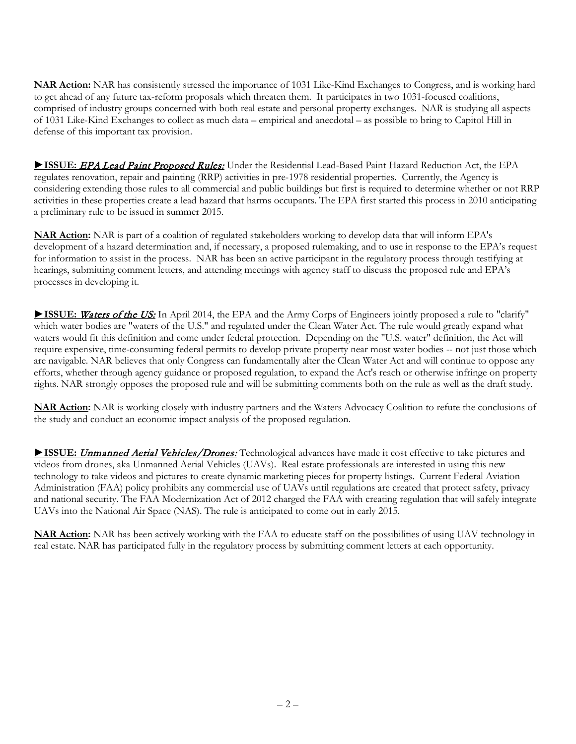**NAR Action:** NAR has consistently stressed the importance of 1031 Like-Kind Exchanges to Congress, and is working hard to get ahead of any future tax-reform proposals which threaten them. It participates in two 1031-focused coalitions, comprised of industry groups concerned with both real estate and personal property exchanges. NAR is studying all aspects of 1031 Like-Kind Exchanges to collect as much data – empirical and anecdotal – as possible to bring to Capitol Hill in defense of this important tax provision.

► ISSUE: EPA Lead Paint Proposed Rules: Under the Residential Lead-Based Paint Hazard Reduction Act, the EPA regulates renovation, repair and painting (RRP) activities in pre-1978 residential properties. Currently, the Agency is considering extending those rules to all commercial and public buildings but first is required to determine whether or not RRP activities in these properties create a lead hazard that harms occupants. The EPA first started this process in 2010 anticipating a preliminary rule to be issued in summer 2015.

**NAR Action:** NAR is part of a coalition of regulated stakeholders working to develop data that will inform EPA's development of a hazard determination and, if necessary, a proposed rulemaking, and to use in response to the EPA's request for information to assist in the process. NAR has been an active participant in the regulatory process through testifying at hearings, submitting comment letters, and attending meetings with agency staff to discuss the proposed rule and EPA's processes in developing it.

► **ISSUE:** Waters of the US: In April 2014, the EPA and the Army Corps of Engineers jointly proposed a rule to "clarify" which water bodies are "waters of the U.S." and regulated under the Clean Water Act. The rule would greatly expand what waters would fit this definition and come under federal protection. Depending on the "U.S. water" definition, the Act will require expensive, time-consuming federal permits to develop private property near most water bodies -- not just those which are navigable. NAR believes that only Congress can fundamentally alter the Clean Water Act and will continue to oppose any efforts, whether through agency guidance or proposed regulation, to expand the Act's reach or otherwise infringe on property rights. NAR strongly opposes the proposed rule and will be submitting comments both on the rule as well as the draft study.

**NAR Action:** NAR is working closely with industry partners and the Waters Advocacy Coalition to refute the conclusions of the study and conduct an economic impact analysis of the proposed regulation.

► **ISSUE:** Unmanned Aerial Vehicles/Drones: Technological advances have made it cost effective to take pictures and videos from drones, aka Unmanned Aerial Vehicles (UAVs). Real estate professionals are interested in using this new technology to take videos and pictures to create dynamic marketing pieces for property listings. Current Federal Aviation Administration (FAA) policy prohibits any commercial use of UAVs until regulations are created that protect safety, privacy and national security. The FAA Modernization Act of 2012 charged the FAA with creating regulation that will safely integrate UAVs into the National Air Space (NAS). The rule is anticipated to come out in early 2015.

**NAR Action:** NAR has been actively working with the FAA to educate staff on the possibilities of using UAV technology in real estate. NAR has participated fully in the regulatory process by submitting comment letters at each opportunity.